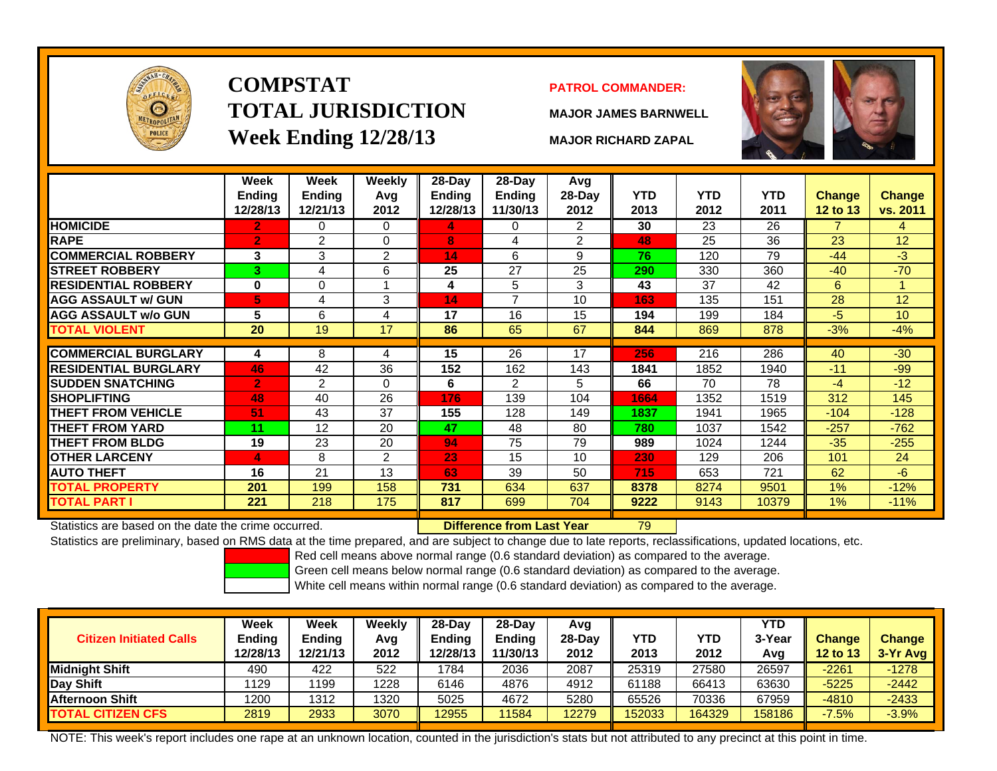

### **COMPSTATTOTAL JURISDICTIONWeek Ending 12/28/13 MAJOR RICHARD ZAPAL**

### **PATROL COMMANDER:**

**MAJOR JAMES BARNWELL**



79

|                             | Week<br><b>Ending</b><br>12/28/13 | Week<br><b>Ending</b><br>12/21/13 | Weekly<br>Avg<br>2012 | $28-Dav$<br>Ending<br>12/28/13 | $28-Day$<br><b>Ending</b><br>11/30/13 | Avg<br>$28-Day$<br>2012 | <b>YTD</b><br>2013 | <b>YTD</b><br>2012 | YTD<br>2011 | <b>Change</b><br><b>12 to 13</b> | <b>Change</b><br>vs. 2011 |
|-----------------------------|-----------------------------------|-----------------------------------|-----------------------|--------------------------------|---------------------------------------|-------------------------|--------------------|--------------------|-------------|----------------------------------|---------------------------|
| <b>HOMICIDE</b>             | $\overline{2}$                    | 0                                 | $\Omega$              | 4.                             | 0                                     | 2                       | 30                 | 23                 | 26          | $\overline{7}$                   | 4                         |
| <b>RAPE</b>                 | $\mathbf{2}$                      | 2                                 | 0                     | 8                              | 4                                     | $\overline{2}$          | 48                 | 25                 | 36          | 23                               | 12                        |
| <b>COMMERCIAL ROBBERY</b>   | 3                                 | 3                                 | 2                     | 14                             | 6                                     | 9                       | 76                 | 120                | 79          | $-44$                            | -3                        |
| <b>ISTREET ROBBERY</b>      | 3                                 | 4                                 | 6                     | 25                             | 27                                    | 25                      | 290                | 330                | 360         | $-40$                            | $-70$                     |
| <b>RESIDENTIAL ROBBERY</b>  | $\bf{0}$                          | $\Omega$                          |                       | 4                              | 5                                     | 3                       | 43                 | 37                 | 42          | 6                                |                           |
| <b>AGG ASSAULT w/ GUN</b>   | 5                                 | 4                                 | 3                     | 14                             | ⇁                                     | 10                      | 163                | 135                | 151         | 28                               | 12                        |
| <b>AGG ASSAULT w/o GUN</b>  | 5                                 | 6                                 | 4                     | 17                             | 16                                    | 15                      | 194                | 199                | 184         | -5                               | 10                        |
| <b>TOTAL VIOLENT</b>        | 20                                | 19                                | 17                    | 86                             | 65                                    | 67                      | 844                | 869                | 878         | $-3%$                            | $-4%$                     |
|                             |                                   |                                   |                       |                                |                                       |                         |                    |                    |             |                                  |                           |
| <b>COMMERCIAL BURGLARY</b>  | 4                                 | 8                                 | 4                     | 15                             | 26                                    | 17                      | 256                | 216                | 286         | 40                               | $-30$                     |
| <b>RESIDENTIAL BURGLARY</b> | 46                                | 42                                | 36                    | 152                            | 162                                   | 143                     | 1841               | 1852               | 1940        | $-11$                            | $-99$                     |
| <b>SUDDEN SNATCHING</b>     | $\overline{2}$                    | 2                                 | 0                     | 6                              | 2                                     | 5                       | 66                 | 70                 | 78          | -4                               | $-12$                     |
| <b>SHOPLIFTING</b>          | 48                                | 40                                | 26                    | 176                            | 139                                   | 104                     | 1664               | 1352               | 1519        | 312                              | 145                       |
| <b>THEFT FROM VEHICLE</b>   | 51                                | 43                                | 37                    | 155                            | 128                                   | 149                     | 1837               | 1941               | 1965        | -104                             | $-128$                    |
| <b>THEFT FROM YARD</b>      | 11                                | 12                                | 20                    | 47                             | 48                                    | 80                      | 780                | 1037               | 1542        | $-257$                           | $-762$                    |
| <b>THEFT FROM BLDG</b>      | 19                                | 23                                | 20                    | 94                             | 75                                    | 79                      | 989                | 1024               | 1244        | $-35$                            | $-255$                    |
| <b>OTHER LARCENY</b>        | 4                                 | 8                                 | 2                     | 23                             | 15                                    | 10                      | 230                | 129                | 206         | 101                              | 24                        |
| <b>AUTO THEFT</b>           | 16                                | 21                                | 13                    | 63                             | 39                                    | 50                      | 715                | 653                | 721         | 62                               | -6                        |
| <b>TOTAL PROPERTY</b>       | 201                               | 199                               | 158                   | 731                            | 634                                   | 637                     | 8378               | 8274               | 9501        | 1%                               | $-12%$                    |
| <b>TOTAL PART I</b>         | 221                               | 218                               | 175                   | 817                            | 699                                   | 704                     | 9222               | 9143               | 10379       | $1\%$                            | $-11%$                    |

Statistics are based on the date the crime occurred. **Difference from Last Year** 

Statistics are preliminary, based on RMS data at the time prepared, and are subject to change due to late reports, reclassifications, updated locations, etc.

Red cell means above normal range (0.6 standard deviation) as compared to the average.

Green cell means below normal range (0.6 standard deviation) as compared to the average.

White cell means within normal range (0.6 standard deviation) as compared to the average.

| <b>Citizen Initiated Calls</b> | Week<br><b>Ending</b><br>12/28/13 | Week<br>Ending<br>12/21/13 | Weekly<br>Avg<br>2012 | $28-Dav$<br>Ending<br>2/28/13 | $28$ -Dav<br><b>Ending</b><br>11/30/13 | Avg<br>28-Day<br>2012 | YTD<br>2013 | YTD<br>2012 | YTD<br>3-Year<br>Avg | <b>Change</b><br>12 to 13 | <b>Change</b><br>3-Yr Avg |
|--------------------------------|-----------------------------------|----------------------------|-----------------------|-------------------------------|----------------------------------------|-----------------------|-------------|-------------|----------------------|---------------------------|---------------------------|
| Midnight Shift                 | 490                               | 422                        | 522                   | 1784                          | 2036                                   | 2087                  | 25319       | 27580       | 26597                | $-2261$                   | $-1278$                   |
| Day Shift                      | 1129                              | 1199                       | 1228                  | 6146                          | 4876                                   | 4912                  | 61188       | 66413       | 63630                | $-5225$                   | $-2442$                   |
| <b>Afternoon Shift</b>         | 1200                              | 1312                       | 1320                  | 5025                          | 4672                                   | 5280                  | 65526       | 70336       | 67959                | $-4810$                   | $-2433$                   |
| <b>TOTAL CITIZEN CFS</b>       | 2819                              | 2933                       | 3070                  | 12955                         | 11584                                  | 12279                 | 52033       | 164329      | 158186               | $-7.5%$                   | $-3.9%$                   |

NOTE: This week's report includes one rape at an unknown location, counted in the jurisdiction's stats but not attributed to any precinct at this point in time.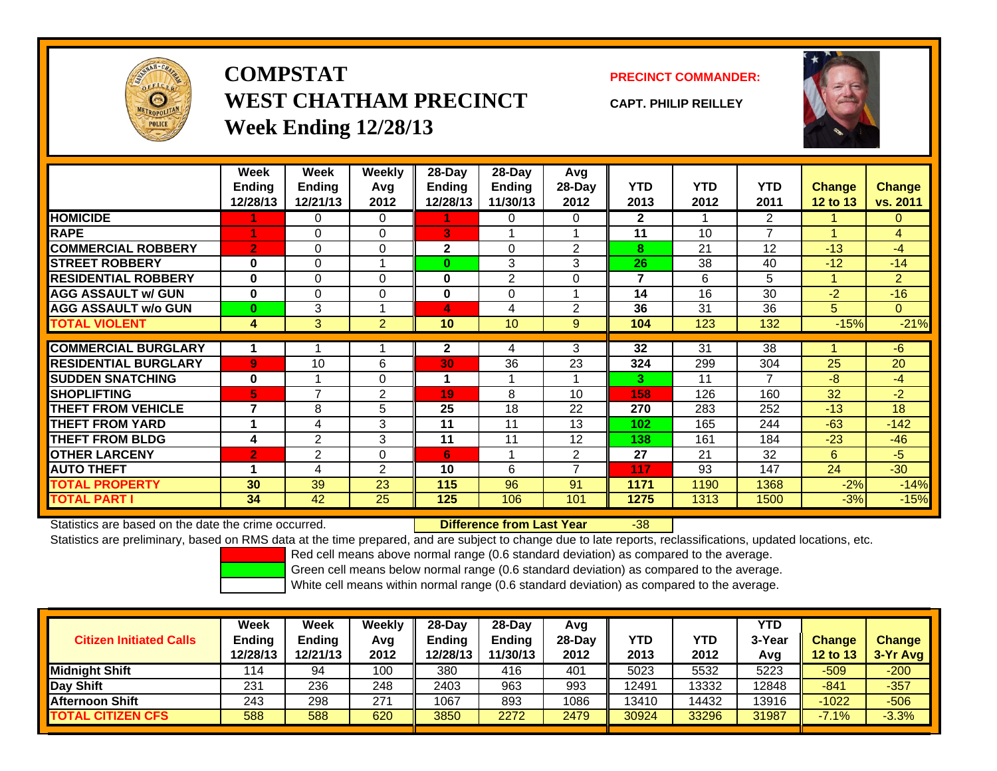

## **COMPSTATWEST CHATHAM PRECINCTWeek Ending 12/28/13**

### **PRECINCT COMMANDER:**

**CAPT. PHILIP REILLEY**



|                             | Week<br><b>Ending</b><br>12/28/13 | Week<br><b>Ending</b><br>12/21/13 | <b>Weekly</b><br>Avg<br>2012 | $28$ -Day<br>Ending<br>12/28/13 | 28-Day<br><b>Ending</b><br>11/30/13 | Avg<br>$28-Day$<br>2012 | <b>YTD</b><br>2013 | <b>YTD</b><br>2012 | <b>YTD</b><br>2011 | <b>Change</b><br>12 to 13 | <b>Change</b><br>vs. 2011 |
|-----------------------------|-----------------------------------|-----------------------------------|------------------------------|---------------------------------|-------------------------------------|-------------------------|--------------------|--------------------|--------------------|---------------------------|---------------------------|
| <b>HOMICIDE</b>             |                                   | 0                                 | 0                            |                                 | 0                                   | 0                       | $\mathbf{2}$       |                    | 2                  |                           | $\mathbf{0}$              |
| <b>RAPE</b>                 |                                   | 0                                 | 0                            | 3                               |                                     |                         | 11                 | 10                 | 7                  |                           | $\overline{4}$            |
| <b>COMMERCIAL ROBBERY</b>   | $\overline{2}$                    | 0                                 | 0                            | $\mathbf{2}$                    | 0                                   | 2                       | 8                  | 21                 | 12                 | $-13$                     | -4                        |
| <b>STREET ROBBERY</b>       | 0                                 | 0                                 |                              | $\bf{0}$                        | 3                                   | 3                       | 26                 | 38                 | 40                 | $-12$                     | $-14$                     |
| <b>RESIDENTIAL ROBBERY</b>  | $\bf{0}$                          | 0                                 | $\Omega$                     | 0                               | 2                                   | $\Omega$                | 7                  | 6                  | 5                  |                           | $\overline{2}$            |
| <b>AGG ASSAULT w/ GUN</b>   | $\bf{0}$                          | 0                                 | 0                            | 0                               | 0                                   |                         | 14                 | 16                 | 30                 | $-2$                      | $-16$                     |
| <b>AGG ASSAULT w/o GUN</b>  | $\bf{0}$                          | 3                                 |                              | 4                               | 4                                   | 2                       | 36                 | 31                 | 36                 | 5                         | $\overline{0}$            |
| <b>TOTAL VIOLENT</b>        | 4                                 | 3                                 | $\overline{2}$               | 10                              | 10                                  | 9                       | 104                | 123                | 132                | $-15%$                    | $-21%$                    |
|                             |                                   |                                   |                              |                                 |                                     |                         |                    |                    |                    |                           |                           |
| <b>COMMERCIAL BURGLARY</b>  | 1                                 |                                   |                              | $\mathbf{2}$                    | 4                                   | 3                       | 32                 | 31                 | 38                 |                           | $-6$                      |
| <b>RESIDENTIAL BURGLARY</b> | 9                                 | 10                                | 6                            | 30                              | 36                                  | 23                      | 324                | 299                | 304                | 25                        | 20                        |
| <b>ISUDDEN SNATCHING</b>    | $\bf{0}$                          |                                   | 0                            |                                 |                                     |                         | 3                  | 11                 | 7                  | -8                        | $-4$                      |
| <b>SHOPLIFTING</b>          | 5                                 | 7                                 | 2                            | 19                              | 8                                   | 10                      | 158                | 126                | 160                | 32                        | $-2$                      |
| <b>THEFT FROM VEHICLE</b>   | $\overline{7}$                    | 8                                 | 5                            | 25                              | 18                                  | 22                      | 270                | 283                | 252                | $-13$                     | 18                        |
| <b>THEFT FROM YARD</b>      | 1                                 | 4                                 | 3                            | 11                              | 11                                  | 13                      | 102                | 165                | 244                | $-63$                     | $-142$                    |
| <b>THEFT FROM BLDG</b>      | 4                                 | $\overline{2}$                    | 3                            | 11                              | 11                                  | 12                      | 138                | 161                | 184                | $-23$                     | $-46$                     |
| <b>OTHER LARCENY</b>        | 2                                 | 2                                 | 0                            | 6                               |                                     | $\overline{2}$          | 27                 | 21                 | 32                 | 6                         | $-5$                      |
| <b>AUTO THEFT</b>           | 1                                 | 4                                 | $\overline{2}$               | 10                              | 6                                   | 7                       | 117                | 93                 | 147                | 24                        | $-30$                     |
| <b>TOTAL PROPERTY</b>       | 30                                | 39                                | 23                           | 115                             | 96                                  | 91                      | 1171               | 1190               | 1368               | $-2%$                     | $-14%$                    |
| <b>TOTAL PART I</b>         | 34                                | 42                                | 25                           | 125                             | 106                                 | 101                     | 1275               | 1313               | 1500               | $-3%$                     | $-15%$                    |

Statistics are based on the date the crime occurred. **Difference from Last Year** 

r -38

Statistics are preliminary, based on RMS data at the time prepared, and are subject to change due to late reports, reclassifications, updated locations, etc.

Red cell means above normal range (0.6 standard deviation) as compared to the average.

Green cell means below normal range (0.6 standard deviation) as compared to the average.

| <b>Citizen Initiated Calls</b> | Week<br><b>Ending</b><br>12/28/13 | Week<br>Ending<br>12/21/13 | Weekly<br>Avg<br>2012 | $28-Day$<br><b>Ending</b><br>12/28/13 | 28-Dav<br><b>Ending</b><br>11/30/13 | Avg<br>28-Dav<br>2012 | YTD<br>2013 | YTD<br>2012 | <b>YTD</b><br>3-Year<br>Avg | <b>Change</b><br>12 to 13 | <b>Change</b><br>$3-Yr$ Avg |
|--------------------------------|-----------------------------------|----------------------------|-----------------------|---------------------------------------|-------------------------------------|-----------------------|-------------|-------------|-----------------------------|---------------------------|-----------------------------|
| <b>Midnight Shift</b>          | 114                               | 94                         | 100                   | 380                                   | 416                                 | 401                   | 5023        | 5532        | 5223                        | $-509$                    | $-200$                      |
| Day Shift                      | 231                               | 236                        | 248                   | 2403                                  | 963                                 | 993                   | 12491       | 13332       | 2848                        | $-841$                    | $-357$                      |
| <b>Afternoon Shift</b>         | 243                               | 298                        | 271                   | 1067                                  | 893                                 | 1086                  | 13410       | 14432       | 13916                       | $-1022$                   | -506                        |
| <b>TOTAL CITIZEN CFS</b>       | 588                               | 588                        | 620                   | 3850                                  | 2272                                | 2479                  | 30924       | 33296       | 31987                       | $-7.1%$                   | $-3.3%$                     |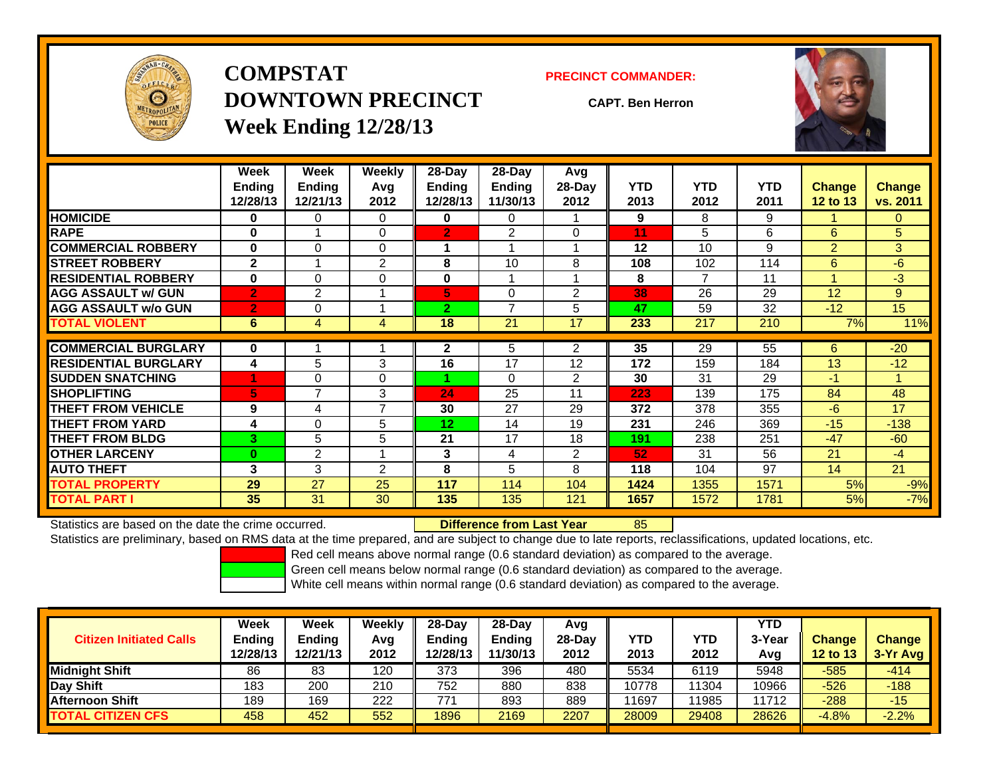

**COMPSTATDOWNTOWN PRECINCTWeek Ending 12/28/13**

#### **PRECINCT COMMANDER:**

**CAPT. Ben Herron**



|                             | Week<br><b>Ending</b><br>12/28/13 | Week<br>Ending<br>12/21/13 | Weekly<br>Avq<br>2012 | $28$ -Day<br><b>Ending</b><br>12/28/13 | $28-Day$<br><b>Ending</b><br>11/30/13 | Avg<br>$28-Day$<br>2012 | <b>YTD</b><br>2013 | <b>YTD</b><br>2012 | <b>YTD</b><br>2011 | <b>Change</b><br><b>12 to 13</b> | Change<br>vs. 2011 |
|-----------------------------|-----------------------------------|----------------------------|-----------------------|----------------------------------------|---------------------------------------|-------------------------|--------------------|--------------------|--------------------|----------------------------------|--------------------|
| <b>HOMICIDE</b>             | 0                                 | 0                          | $\Omega$              | 0                                      | 0                                     |                         | 9                  | 8                  | 9                  |                                  | 0                  |
| <b>RAPE</b>                 | $\bf{0}$                          |                            | $\Omega$              | $\overline{2}$                         | $\overline{2}$                        | $\Omega$                | 11                 | 5                  | 6                  | 6                                | 5                  |
| <b>COMMERCIAL ROBBERY</b>   | $\Omega$                          | 0                          | $\Omega$              |                                        |                                       |                         | 12                 | 10                 | 9                  | $\overline{2}$                   | 3                  |
| <b>STREET ROBBERY</b>       | $\mathbf{2}$                      | 4                          | 2                     | 8                                      | 10                                    | 8                       | 108                | 102                | 114                | 6                                | $-6$               |
| <b>RESIDENTIAL ROBBERY</b>  | $\bf{0}$                          | 0                          | $\Omega$              | $\bf{0}$                               |                                       |                         | 8                  | $\overline{7}$     | 11                 | 1                                | $-3$               |
| <b>AGG ASSAULT w/ GUN</b>   | $\overline{2}$                    | $\overline{2}$             |                       | 5                                      | $\Omega$                              | $\overline{2}$          | 38                 | 26                 | 29                 | 12                               | 9                  |
| <b>AGG ASSAULT w/o GUN</b>  | $\overline{2}$                    | 0                          |                       | $\overline{2}$                         | $\overline{\phantom{a}}$              | 5                       | 47                 | 59                 | 32                 | $-12$                            | 15                 |
| <b>TOTAL VIOLENT</b>        | 6                                 | 4                          | 4                     | 18                                     | 21                                    | 17                      | 233                | 217                | 210                | 7%                               | 11%                |
| <b>COMMERCIAL BURGLARY</b>  | 0                                 |                            |                       | $\mathbf{2}$                           | 5                                     | 2                       | 35                 | 29                 | 55                 | 6                                | $-20$              |
| <b>RESIDENTIAL BURGLARY</b> | 4                                 | 5                          | 3                     | 16                                     | 17                                    | 12                      | 172                | 159                | 184                | 13                               | $-12$              |
| <b>SUDDEN SNATCHING</b>     |                                   | 0                          | $\Omega$              |                                        | $\Omega$                              | $\overline{2}$          | 30                 | 31                 | 29                 | $-1$                             | 1                  |
| <b>SHOPLIFTING</b>          | 5                                 | 7                          | 3                     | 24                                     | 25                                    | 11                      | 223                | 139                | 175                | 84                               | 48                 |
| <b>THEFT FROM VEHICLE</b>   | 9                                 | 4                          | $\overline{ }$        | 30                                     | 27                                    | 29                      | 372                | 378                | 355                | -6                               | 17                 |
| <b>THEFT FROM YARD</b>      | 4                                 | 0                          | 5                     | 12 <sub>2</sub>                        | 14                                    | 19                      | 231                | 246                | 369                | $-15$                            | $-138$             |
| <b>THEFT FROM BLDG</b>      | 3                                 | 5                          | 5                     | 21                                     | 17                                    | 18                      | 191                | 238                | 251                | $-47$                            | $-60$              |
| <b>OTHER LARCENY</b>        | $\bf{0}$                          | 2                          |                       | 3                                      | 4                                     | 2                       | 52                 | 31                 | 56                 | 21                               | $-4$               |
| <b>AUTO THEFT</b>           | 3                                 | 3                          | $\overline{2}$        | 8                                      | 5                                     | 8                       | 118                | 104                | 97                 | 14                               | 21                 |
| <b>TOTAL PROPERTY</b>       | 29                                | 27                         | 25                    | 117                                    | 114                                   | 104                     | 1424               | 1355               | 1571               | 5%                               | $-9%$              |
| <b>TOTAL PART I</b>         | 35                                | 31                         | 30                    | 135                                    | 135                                   | 121                     | 1657               | 1572               | 1781               | 5%                               | $-7%$              |

Statistics are based on the date the crime occurred. **Difference from Last Year** 

#### r 85

Statistics are preliminary, based on RMS data at the time prepared, and are subject to change due to late reports, reclassifications, updated locations, etc.

Red cell means above normal range (0.6 standard deviation) as compared to the average.

Green cell means below normal range (0.6 standard deviation) as compared to the average.

| <b>Citizen Initiated Calls</b> | Week<br>Ending<br>12/28/13 | Week<br><b>Ending</b><br>12/21/13 | Weekly<br>Avg<br>2012 | $28-Day$<br><b>Ending</b><br>12/28/13 | 28-Dav<br><b>Endina</b><br>11/30/13 | Avg<br>28-Dav<br>2012 | YTD<br>2013 | <b>YTD</b><br>2012 | YTD<br>3-Year<br>Avg | <b>Change</b><br><b>12 to 13</b> | <b>Change</b><br>3-Yr Avg |
|--------------------------------|----------------------------|-----------------------------------|-----------------------|---------------------------------------|-------------------------------------|-----------------------|-------------|--------------------|----------------------|----------------------------------|---------------------------|
| <b>Midnight Shift</b>          | 86                         | 83                                | 120                   | 373                                   | 396                                 | 480                   | 5534        | 6119               | 5948                 | $-585$                           | $-414$                    |
| Day Shift                      | 183                        | 200                               | 210                   | 752                                   | 880                                 | 838                   | 10778       | 11304              | 10966                | $-526$                           | $-188$                    |
| <b>Afternoon Shift</b>         | 189                        | 169                               | 222                   | 77'                                   | 893                                 | 889                   | 1697        | 11985              | 11712                | $-288$                           | $-15$                     |
| <b>TOTAL CITIZEN CFS</b>       | 458                        | 452                               | 552                   | 1896                                  | 2169                                | 2207                  | 28009       | 29408              | 28626                | $-4.8%$                          | $-2.2%$                   |
|                                |                            |                                   |                       |                                       |                                     |                       |             |                    |                      |                                  |                           |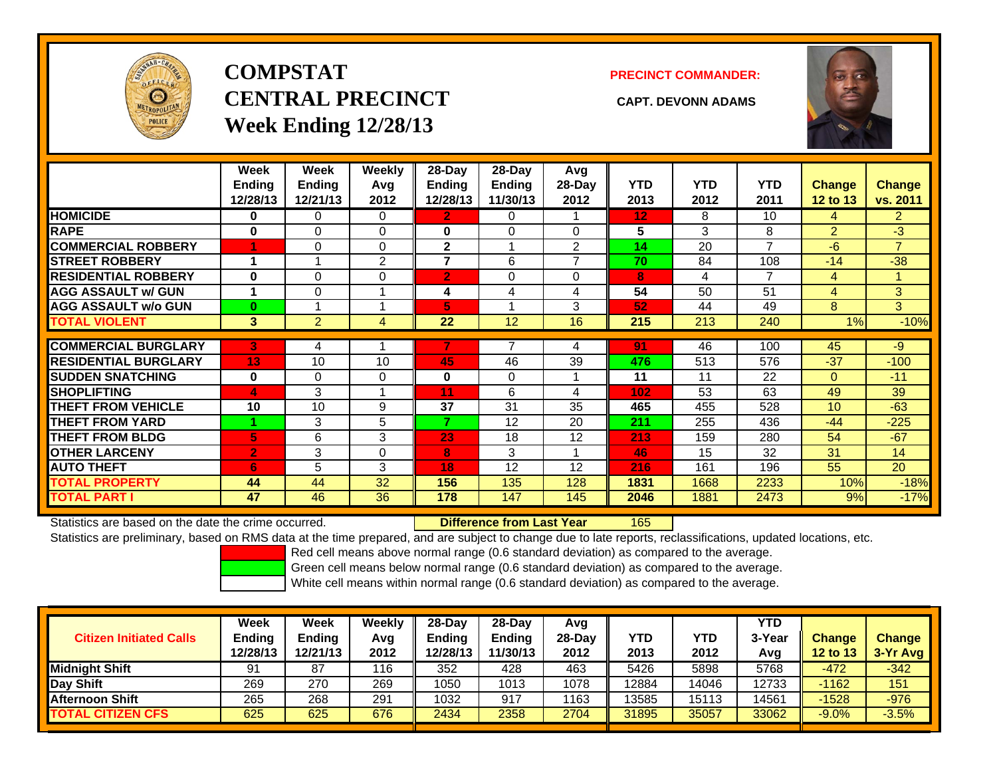

# **COMPSTATCENTRAL PRECINCT CAPT. DEVONN ADAMSWeek Ending 12/28/13**

#### **PRECINCT COMMANDER:**



|                             | Week<br><b>Ending</b><br>12/28/13 | Week<br><b>Ending</b><br>12/21/13 | Weekly<br>Avg<br>2012 | 28-Day<br>Ending<br>12/28/13 | $28-Day$<br><b>Ending</b><br>11/30/13 | Avg<br>28-Day<br>2012 | <b>YTD</b><br>2013 | <b>YTD</b><br>2012 | <b>YTD</b><br>2011 | <b>Change</b><br>12 to 13 | Change<br>vs. 2011 |
|-----------------------------|-----------------------------------|-----------------------------------|-----------------------|------------------------------|---------------------------------------|-----------------------|--------------------|--------------------|--------------------|---------------------------|--------------------|
| <b>HOMICIDE</b>             | 0                                 | 0                                 | $\Omega$              | 2                            | 0                                     |                       | 12                 | 8                  | 10                 | 4                         | $\overline{2}$     |
| <b>RAPE</b>                 | 0                                 | 0                                 | $\Omega$              | 0                            | $\Omega$                              | 0                     | 5                  | 3                  | 8                  | $\overline{2}$            | $-3$               |
| <b>COMMERCIAL ROBBERY</b>   |                                   | 0                                 | $\Omega$              | $\mathbf{2}$                 |                                       | 2                     | 14                 | 20                 | $\overline{7}$     | $-6$                      | $\overline{7}$     |
| <b>STREET ROBBERY</b>       | 1                                 |                                   | 2                     | 7                            | 6                                     | 7                     | 70                 | 84                 | 108                | $-14$                     | $-38$              |
| <b>RESIDENTIAL ROBBERY</b>  | $\bf{0}$                          | 0                                 | 0                     | $\overline{\mathbf{2}}$      | 0                                     | $\Omega$              | 8                  | 4                  | 7                  | 4                         |                    |
| <b>AGG ASSAULT w/ GUN</b>   |                                   | 0                                 | 1                     | 4                            | 4                                     | 4                     | 54                 | 50                 | 51                 | 4                         | 3 <sup>1</sup>     |
| <b>AGG ASSAULT w/o GUN</b>  | $\bf{0}$                          |                                   | 1                     | 5                            |                                       | 3                     | 52                 | 44                 | 49                 | 8                         | 3                  |
| <b>TOTAL VIOLENT</b>        | 3                                 | $\overline{2}$                    | 4                     | 22                           | 12                                    | 16                    | 215                | 213                | 240                | 1%                        | $-10%$             |
|                             |                                   |                                   |                       |                              |                                       |                       |                    |                    |                    |                           |                    |
| <b>COMMERCIAL BURGLARY</b>  | 3                                 | 4                                 |                       |                              |                                       | 4                     | 91                 | 46                 | 100                | 45                        | -9                 |
| <b>RESIDENTIAL BURGLARY</b> | 13                                | 10                                | 10                    | 45                           | 46                                    | 39                    | 476                | 513                | 576                | $-37$                     | $-100$             |
| <b>SUDDEN SNATCHING</b>     | $\bf{0}$                          | 0                                 | $\Omega$              | $\bf{0}$                     | $\Omega$                              |                       | 11                 | 11                 | 22                 | $\mathbf{0}$              | $-11$              |
| <b>SHOPLIFTING</b>          | 4                                 | 3                                 | 1                     | 11                           | 6                                     | 4                     | 102                | 53                 | 63                 | 49                        | 39                 |
| <b>THEFT FROM VEHICLE</b>   | 10                                | 10                                | 9                     | 37                           | 31                                    | 35                    | 465                | 455                | 528                | 10                        | $-63$              |
| <b>THEFT FROM YARD</b>      |                                   | 3                                 | 5                     | 7                            | 12                                    | 20                    | 211                | 255                | 436                | $-44$                     | $-225$             |
| <b>THEFT FROM BLDG</b>      | 5                                 | 6                                 | 3                     | 23                           | 18                                    | 12                    | 213                | 159                | 280                | 54                        | $-67$              |
| <b>OTHER LARCENY</b>        | /2/                               | 3                                 | $\Omega$              | 8                            | 3                                     |                       | 46                 | 15                 | 32                 | 31                        | 14                 |
| <b>AUTO THEFT</b>           | 6                                 | 5                                 | 3                     | 18                           | 12                                    | 12                    | 216                | 161                | 196                | 55                        | 20                 |
| <b>TOTAL PROPERTY</b>       | 44                                | 44                                | 32                    | 156                          | 135                                   | 128                   | 1831               | 1668               | 2233               | 10%                       | $-18%$             |
| <b>TOTAL PART I</b>         | 47                                | 46                                | 36                    | 178                          | 147                                   | 145                   | 2046               | 1881               | 2473               | 9%                        | $-17%$             |

Statistics are based on the date the crime occurred. **Difference from Last Year** 

165

Statistics are preliminary, based on RMS data at the time prepared, and are subject to change due to late reports, reclassifications, updated locations, etc.

Red cell means above normal range (0.6 standard deviation) as compared to the average.

Green cell means below normal range (0.6 standard deviation) as compared to the average.

| <b>Citizen Initiated Calls</b> | <b>Week</b><br><b>Ending</b> | Week<br>Ending | Weekly<br>Avg | $28-Dav$<br><b>Ending</b> | 28-Day<br><b>Ending</b> | Avg<br>$28-Dav$ | <b>YTD</b> | <b>YTD</b> | YTD<br>3-Year | <b>Change</b>   | <b>Change</b> |
|--------------------------------|------------------------------|----------------|---------------|---------------------------|-------------------------|-----------------|------------|------------|---------------|-----------------|---------------|
|                                | 12/28/13                     | 12/21/13       | 2012          | 12/28/13                  | 11/30/13                | 2012            | 2013       | 2012       | Avg           | <b>12 to 13</b> | $3-Yr$ Avg    |
| <b>Midnight Shift</b>          | 91                           | 87             | 116           | 352                       | 428                     | 463             | 5426       | 5898       | 5768          | $-472$          | $-342$        |
| Day Shift                      | 269                          | 270            | 269           | 1050                      | 1013                    | 1078            | 12884      | 14046      | 12733         | $-1162$         | 151           |
| <b>Afternoon Shift</b>         | 265                          | 268            | 291           | 1032                      | 917                     | 1163            | 13585      | 15113      | 4561          | $-1528$         | $-976$        |
| <b>TOTAL CITIZEN CFS</b>       | 625                          | 625            | 676           | 2434                      | 2358                    | 2704            | 31895      | 35057      | 33062         | $-9.0%$         | $-3.5%$       |
|                                |                              |                |               |                           |                         |                 |            |            |               |                 |               |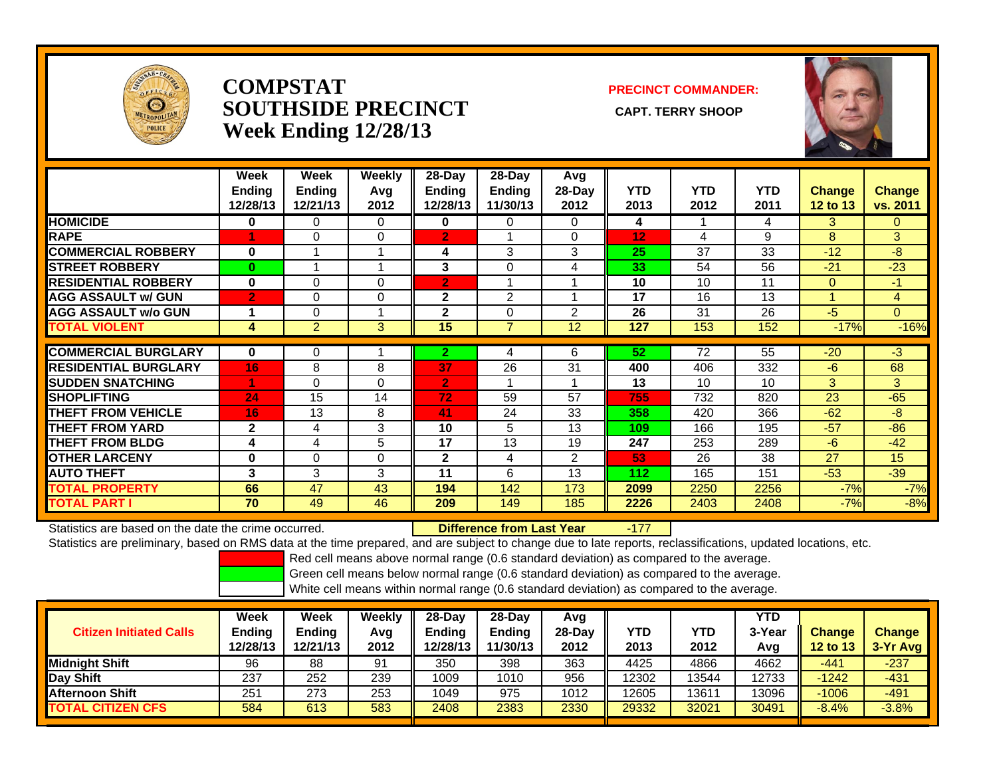

### **COMPSTATSOUTHSIDE PRECINCT** CAPT. TERRY SHOOP **Week Ending 12/28/13**

**PRECINCT COMMANDER:**



|                             | Week<br><b>Ending</b><br>12/28/13 | Week<br><b>Ending</b><br>12/21/13 | <b>Weekly</b><br>Avg<br>2012 | $28-Day$<br><b>Ending</b><br>12/28/13 | $28-Day$<br><b>Ending</b><br>11/30/13 | Avg<br>28-Day<br>2012 | <b>YTD</b><br>2013 | <b>YTD</b><br>2012 | <b>YTD</b><br>2011 | <b>Change</b><br><b>12 to 13</b> | <b>Change</b><br>vs. 2011 |
|-----------------------------|-----------------------------------|-----------------------------------|------------------------------|---------------------------------------|---------------------------------------|-----------------------|--------------------|--------------------|--------------------|----------------------------------|---------------------------|
| <b>HOMICIDE</b>             | 0                                 | 0                                 | $\Omega$                     | 0                                     | 0                                     | 0                     | 4                  |                    | 4                  | 3                                | $\mathbf{0}$              |
| <b>RAPE</b>                 |                                   | 0                                 | 0                            | $\overline{2}$                        |                                       | $\Omega$              | 12                 | 4                  | 9                  | 8                                | 3                         |
| <b>COMMERCIAL ROBBERY</b>   | $\bf{0}$                          |                                   |                              | 4                                     | 3                                     | 3                     | 25                 | 37                 | 33                 | $-12$                            | $-8$                      |
| <b>STREET ROBBERY</b>       | 0                                 |                                   | -1                           | 3                                     | 0                                     | 4                     | 33                 | 54                 | 56                 | $-21$                            | $-23$                     |
| <b>RESIDENTIAL ROBBERY</b>  | 0                                 | 0                                 | $\Omega$                     | $\overline{2}$                        |                                       |                       | 10                 | 10                 | 11                 | $\Omega$                         | $-1$                      |
| <b>AGG ASSAULT w/ GUN</b>   | $\overline{2}$                    | 0                                 | 0                            | 2                                     | 2                                     |                       | 17                 | 16                 | 13                 | -4                               | 4                         |
| <b>AGG ASSAULT w/o GUN</b>  | 1                                 | 0                                 |                              | $\overline{2}$                        | $\Omega$                              | $\overline{2}$        | 26                 | 31                 | 26                 | $-5$                             | $\overline{0}$            |
| <b>TOTAL VIOLENT</b>        | 4                                 | $\overline{2}$                    | 3                            | 15                                    | $\overline{7}$                        | 12                    | 127                | 153                | 152                | $-17%$                           | $-16%$                    |
|                             |                                   |                                   |                              |                                       |                                       |                       |                    |                    |                    |                                  |                           |
| <b>COMMERCIAL BURGLARY</b>  | 0                                 | 0                                 |                              | 2.                                    | 4                                     | 6                     | 52                 | 72                 | 55                 | $-20$                            | $-3$                      |
| <b>RESIDENTIAL BURGLARY</b> | 16                                | 8                                 | 8                            | 37                                    | 26                                    | 31                    | 400                | 406                | 332                | $-6$                             | 68                        |
| <b>ISUDDEN SNATCHING</b>    | 4                                 | 0                                 | 0                            | $\overline{2}$                        |                                       |                       | 13                 | 10                 | 10                 | 3                                | 3                         |
| <b>ISHOPLIFTING</b>         | 24                                | 15                                | 14                           | 72                                    | 59                                    | 57                    | 755                | 732                | 820                | 23                               | $-65$                     |
| <b>THEFT FROM VEHICLE</b>   | 16                                | 13                                | 8                            | 41                                    | 24                                    | 33                    | 358                | 420                | 366                | $-62$                            | $-8$                      |
| <b>THEFT FROM YARD</b>      | $\mathbf{2}$                      | 4                                 | 3                            | 10                                    | 5                                     | 13                    | 109                | 166                | 195                | $-57$                            | $-86$                     |
| <b>THEFT FROM BLDG</b>      | 4                                 | 4                                 | 5                            | 17                                    | 13                                    | 19                    | 247                | 253                | 289                | $-6$                             | $-42$                     |
| <b>OTHER LARCENY</b>        | $\bf{0}$                          | $\Omega$                          | $\Omega$                     | 2                                     | 4                                     | $\overline{2}$        | 53                 | 26                 | 38                 | 27                               | 15                        |
| <b>AUTO THEFT</b>           | 3                                 | 3                                 | 3                            | 11                                    | 6                                     | 13                    | 112                | 165                | 151                | $-53$                            | $-39$                     |
| <b>TOTAL PROPERTY</b>       | 66                                | 47                                | 43                           | 194                                   | 142                                   | 173                   | 2099               | 2250               | 2256               | $-7%$                            | $-7%$                     |
| <b>TOTAL PART I</b>         | 70                                | 49                                | 46                           | 209                                   | 149                                   | 185                   | 2226               | 2403               | 2408               | $-7%$                            | $-8%$                     |

Statistics are based on the date the crime occurred. **Difference from Last Year** 

-177

Statistics are preliminary, based on RMS data at the time prepared, and are subject to change due to late reports, reclassifications, updated locations, etc.

Red cell means above normal range (0.6 standard deviation) as compared to the average.

Green cell means below normal range (0.6 standard deviation) as compared to the average.

| <b>Citizen Initiated Calls</b> | Week<br><b>Ending</b><br>12/28/13 | Week<br><b>Ending</b><br>12/21/13 | Weekly<br>Avg<br>2012 | $28-Day$<br><b>Ending</b><br>12/28/13 | $28$ -Day<br><b>Ending</b><br>11/30/13 | Avg<br>$28-Dav$<br>2012 | YTD<br>2013 | YTD<br>2012 | YTD<br>3-Year<br>Avg | <b>Change</b><br><b>12 to 13</b> | <b>Change</b><br>3-Yr Avg |
|--------------------------------|-----------------------------------|-----------------------------------|-----------------------|---------------------------------------|----------------------------------------|-------------------------|-------------|-------------|----------------------|----------------------------------|---------------------------|
| <b>I</b> Midniaht Shift        | 96                                | 88                                | 91                    | 350                                   | 398                                    | 363                     | 4425        | 4866        | 4662                 | $-441$                           | $-237$                    |
| Day Shift                      | 237                               | 252                               | 239                   | 1009                                  | 1010                                   | 956                     | 12302       | 13544       | 12733                | $-1242$                          | $-431$                    |
| <b>Afternoon Shift</b>         | 251                               | 273                               | 253                   | 1049                                  | 975                                    | 1012                    | 12605       | 13611       | 13096                | $-1006$                          | $-491$                    |
| <b>TOTAL CITIZEN CFS</b>       | 584                               | 613                               | 583                   | 2408                                  | 2383                                   | 2330                    | 29332       | 32021       | 30491                | $-8.4%$                          | $-3.8%$                   |